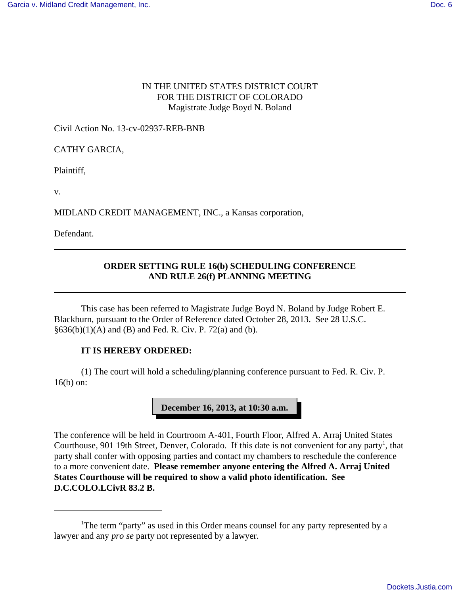## IN THE UNITED STATES DISTRICT COURT FOR THE DISTRICT OF COLORADO Magistrate Judge Boyd N. Boland

Civil Action No. 13-cv-02937-REB-BNB

CATHY GARCIA,

Plaintiff,

v.

MIDLAND CREDIT MANAGEMENT, INC., a Kansas corporation,

Defendant.

## **ORDER SETTING RULE 16(b) SCHEDULING CONFERENCE AND RULE 26(f) PLANNING MEETING**

This case has been referred to Magistrate Judge Boyd N. Boland by Judge Robert E. Blackburn, pursuant to the Order of Reference dated October 28, 2013. See 28 U.S.C.  $§636(b)(1)(A)$  and (B) and Fed. R. Civ. P. 72(a) and (b).

## **IT IS HEREBY ORDERED:**

(1) The court will hold a scheduling/planning conference pursuant to Fed. R. Civ. P. 16(b) on:



The conference will be held in Courtroom A-401, Fourth Floor, Alfred A. Arraj United States Courthouse, 901 19th Street, Denver, Colorado. If this date is not convenient for any party<sup>1</sup>, that party shall confer with opposing parties and contact my chambers to reschedule the conference to a more convenient date. **Please remember anyone entering the Alfred A. Arraj United States Courthouse will be required to show a valid photo identification. See D.C.COLO.LCivR 83.2 B.**

<sup>&</sup>lt;sup>1</sup>The term "party" as used in this Order means counsel for any party represented by a lawyer and any *pro se* party not represented by a lawyer.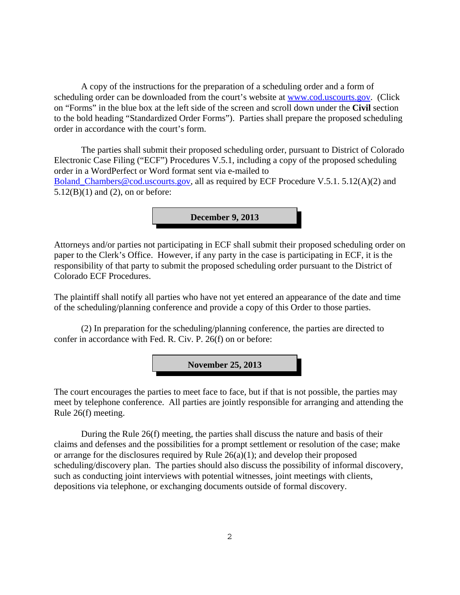A copy of the instructions for the preparation of a scheduling order and a form of scheduling order can be downloaded from the court's website at www.cod.uscourts.gov. (Click on "Forms" in the blue box at the left side of the screen and scroll down under the **Civil** section to the bold heading "Standardized Order Forms"). Parties shall prepare the proposed scheduling order in accordance with the court's form.

The parties shall submit their proposed scheduling order, pursuant to District of Colorado Electronic Case Filing ("ECF") Procedures V.5.1, including a copy of the proposed scheduling order in a WordPerfect or Word format sent via e-mailed to Boland\_Chambers@cod.uscourts.gov, all as required by ECF Procedure V.5.1. 5.12(A)(2) and  $5.12(B)(1)$  and  $(2)$ , on or before:

**December 9, 2013**

Attorneys and/or parties not participating in ECF shall submit their proposed scheduling order on paper to the Clerk's Office. However, if any party in the case is participating in ECF, it is the responsibility of that party to submit the proposed scheduling order pursuant to the District of Colorado ECF Procedures.

The plaintiff shall notify all parties who have not yet entered an appearance of the date and time of the scheduling/planning conference and provide a copy of this Order to those parties.

(2) In preparation for the scheduling/planning conference, the parties are directed to confer in accordance with Fed. R. Civ. P. 26(f) on or before:

**November 25, 2013**

The court encourages the parties to meet face to face, but if that is not possible, the parties may meet by telephone conference. All parties are jointly responsible for arranging and attending the Rule 26(f) meeting.

During the Rule 26(f) meeting, the parties shall discuss the nature and basis of their claims and defenses and the possibilities for a prompt settlement or resolution of the case; make or arrange for the disclosures required by Rule 26(a)(1); and develop their proposed scheduling/discovery plan. The parties should also discuss the possibility of informal discovery, such as conducting joint interviews with potential witnesses, joint meetings with clients, depositions via telephone, or exchanging documents outside of formal discovery.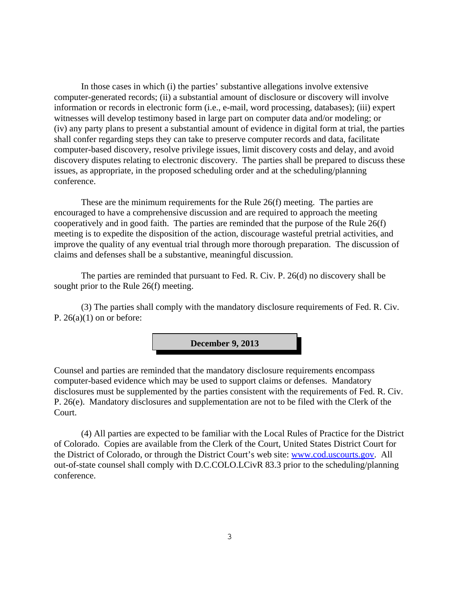In those cases in which (i) the parties' substantive allegations involve extensive computer-generated records; (ii) a substantial amount of disclosure or discovery will involve information or records in electronic form (i.e., e-mail, word processing, databases); (iii) expert witnesses will develop testimony based in large part on computer data and/or modeling; or (iv) any party plans to present a substantial amount of evidence in digital form at trial, the parties shall confer regarding steps they can take to preserve computer records and data, facilitate computer-based discovery, resolve privilege issues, limit discovery costs and delay, and avoid discovery disputes relating to electronic discovery. The parties shall be prepared to discuss these issues, as appropriate, in the proposed scheduling order and at the scheduling/planning conference.

These are the minimum requirements for the Rule 26(f) meeting. The parties are encouraged to have a comprehensive discussion and are required to approach the meeting cooperatively and in good faith. The parties are reminded that the purpose of the Rule 26(f) meeting is to expedite the disposition of the action, discourage wasteful pretrial activities, and improve the quality of any eventual trial through more thorough preparation. The discussion of claims and defenses shall be a substantive, meaningful discussion.

The parties are reminded that pursuant to Fed. R. Civ. P. 26(d) no discovery shall be sought prior to the Rule 26(f) meeting.

(3) The parties shall comply with the mandatory disclosure requirements of Fed. R. Civ. P.  $26(a)(1)$  on or before:

**December 9, 2013**

Counsel and parties are reminded that the mandatory disclosure requirements encompass computer-based evidence which may be used to support claims or defenses. Mandatory disclosures must be supplemented by the parties consistent with the requirements of Fed. R. Civ. P. 26(e). Mandatory disclosures and supplementation are not to be filed with the Clerk of the Court.

(4) All parties are expected to be familiar with the Local Rules of Practice for the District of Colorado. Copies are available from the Clerk of the Court, United States District Court for the District of Colorado, or through the District Court's web site: www.cod.uscourts.gov. All out-of-state counsel shall comply with D.C.COLO.LCivR 83.3 prior to the scheduling/planning conference.